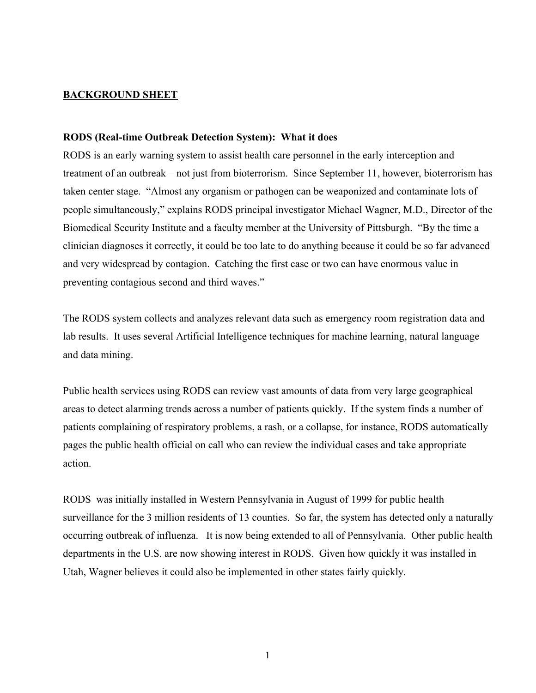## **BACKGROUND SHEET**

## **RODS (Real-time Outbreak Detection System): What it does**

RODS is an early warning system to assist health care personnel in the early interception and treatment of an outbreak – not just from bioterrorism. Since September 11, however, bioterrorism has taken center stage. "Almost any organism or pathogen can be weaponized and contaminate lots of people simultaneously," explains RODS principal investigator Michael Wagner, M.D., Director of the Biomedical Security Institute and a faculty member at the University of Pittsburgh. "By the time a clinician diagnoses it correctly, it could be too late to do anything because it could be so far advanced and very widespread by contagion. Catching the first case or two can have enormous value in preventing contagious second and third waves."

The RODS system collects and analyzes relevant data such as emergency room registration data and lab results. It uses several Artificial Intelligence techniques for machine learning, natural language and data mining.

Public health services using RODS can review vast amounts of data from very large geographical areas to detect alarming trends across a number of patients quickly. If the system finds a number of patients complaining of respiratory problems, a rash, or a collapse, for instance, RODS automatically pages the public health official on call who can review the individual cases and take appropriate action.

RODS was initially installed in Western Pennsylvania in August of 1999 for public health surveillance for the 3 million residents of 13 counties. So far, the system has detected only a naturally occurring outbreak of influenza. It is now being extended to all of Pennsylvania. Other public health departments in the U.S. are now showing interest in RODS. Given how quickly it was installed in Utah, Wagner believes it could also be implemented in other states fairly quickly.

1